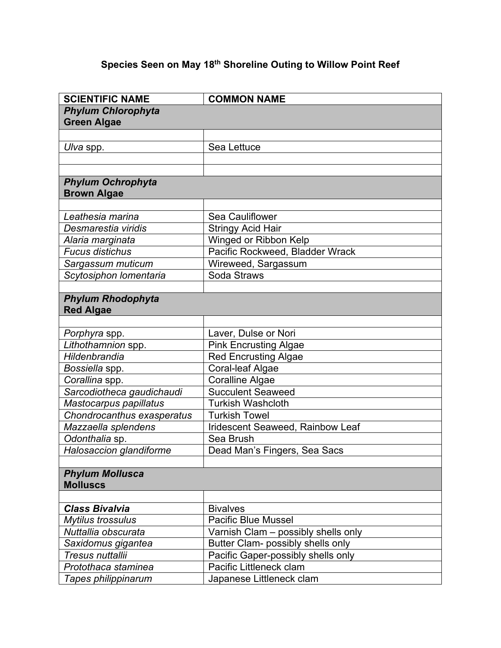## **Species Seen on May 18th Shoreline Outing to Willow Point Reef**

| <b>SCIENTIFIC NAME</b>     | <b>COMMON NAME</b>                  |
|----------------------------|-------------------------------------|
| <b>Phylum Chlorophyta</b>  |                                     |
| <b>Green Algae</b>         |                                     |
|                            |                                     |
| Ulva spp.                  | Sea Lettuce                         |
|                            |                                     |
|                            |                                     |
| <b>Phylum Ochrophyta</b>   |                                     |
| <b>Brown Algae</b>         |                                     |
|                            |                                     |
| Leathesia marina           | Sea Cauliflower                     |
| Desmarestia viridis        | <b>Stringy Acid Hair</b>            |
| Alaria marginata           | Winged or Ribbon Kelp               |
| <b>Fucus distichus</b>     | Pacific Rockweed, Bladder Wrack     |
| Sargassum muticum          | Wireweed, Sargassum                 |
| Scytosiphon lomentaria     | Soda Straws                         |
|                            |                                     |
| <b>Phylum Rhodophyta</b>   |                                     |
| <b>Red Algae</b>           |                                     |
|                            |                                     |
| Porphyra spp.              | Laver, Dulse or Nori                |
| Lithothamnion spp.         | <b>Pink Encrusting Algae</b>        |
| Hildenbrandia              | <b>Red Encrusting Algae</b>         |
| Bossiella spp.             | <b>Coral-leaf Algae</b>             |
| Corallina spp.             | <b>Coralline Algae</b>              |
| Sarcodiotheca gaudichaudi  | <b>Succulent Seaweed</b>            |
| Mastocarpus papillatus     | <b>Turkish Washcloth</b>            |
| Chondrocanthus exasperatus | <b>Turkish Towel</b>                |
| Mazzaella splendens        | Iridescent Seaweed, Rainbow Leaf    |
| Odonthalia sp.             | Sea Brush                           |
| Halosaccion glandiforme    | Dead Man's Fingers, Sea Sacs        |
|                            |                                     |
| <b>Phylum Mollusca</b>     |                                     |
| <b>Molluscs</b>            |                                     |
|                            |                                     |
| <b>Class Bivalvia</b>      | <b>Bivalves</b>                     |
| <b>Mytilus trossulus</b>   | <b>Pacific Blue Mussel</b>          |
| Nuttallia obscurata        | Varnish Clam - possibly shells only |
| Saxidomus gigantea         | Butter Clam- possibly shells only   |
| Tresus nuttallii           | Pacific Gaper-possibly shells only  |
| Protothaca staminea        | Pacific Littleneck clam             |
| Tapes philippinarum        | Japanese Littleneck clam            |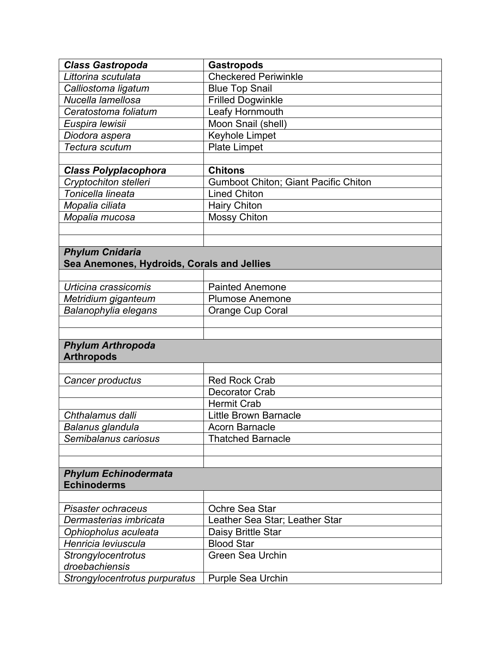| <b>Class Gastropoda</b>                       | <b>Gastropods</b>                           |
|-----------------------------------------------|---------------------------------------------|
| Littorina scutulata                           | <b>Checkered Periwinkle</b>                 |
| Calliostoma ligatum                           | <b>Blue Top Snail</b>                       |
| Nucella lamellosa                             | <b>Frilled Dogwinkle</b>                    |
| Ceratostoma foliatum                          | Leafy Hornmouth                             |
| Euspira lewisii                               | Moon Snail (shell)                          |
| Diodora aspera                                | Keyhole Limpet                              |
| Tectura scutum                                | <b>Plate Limpet</b>                         |
|                                               |                                             |
| <b>Class Polyplacophora</b>                   | <b>Chitons</b>                              |
| Cryptochiton stelleri                         | <b>Gumboot Chiton; Giant Pacific Chiton</b> |
| Tonicella lineata                             | <b>Lined Chiton</b>                         |
| Mopalia ciliata                               | <b>Hairy Chiton</b>                         |
| Mopalia mucosa                                | <b>Mossy Chiton</b>                         |
|                                               |                                             |
|                                               |                                             |
| <b>Phylum Cnidaria</b>                        |                                             |
| Sea Anemones, Hydroids, Corals and Jellies    |                                             |
|                                               |                                             |
| Urticina crassicomis                          | <b>Painted Anemone</b>                      |
| Metridium giganteum                           | <b>Plumose Anemone</b>                      |
| Balanophylia elegans                          | Orange Cup Coral                            |
|                                               |                                             |
|                                               |                                             |
| <b>Phylum Arthropoda</b><br><b>Arthropods</b> |                                             |
|                                               |                                             |
| Cancer productus                              | <b>Red Rock Crab</b>                        |
|                                               | <b>Decorator Crab</b>                       |
|                                               | <b>Hermit Crab</b>                          |
| Chthalamus dalli                              | <b>Little Brown Barnacle</b>                |
| Balanus glandula                              | <b>Acorn Barnacle</b>                       |
| Semibalanus cariosus                          | <b>Thatched Barnacle</b>                    |
|                                               |                                             |
|                                               |                                             |
| <b>Phylum Echinodermata</b>                   |                                             |
| <b>Echinoderms</b>                            |                                             |
|                                               |                                             |
| Pisaster ochraceus                            | Ochre Sea Star                              |
| Dermasterias imbricata                        | Leather Sea Star; Leather Star              |
| Ophiopholus aculeata                          | Daisy Brittle Star                          |
| Henricia leviuscula                           | <b>Blood Star</b>                           |
| Strongylocentrotus                            | <b>Green Sea Urchin</b>                     |
| droebachiensis                                |                                             |
| Strongylocentrotus purpuratus                 | <b>Purple Sea Urchin</b>                    |